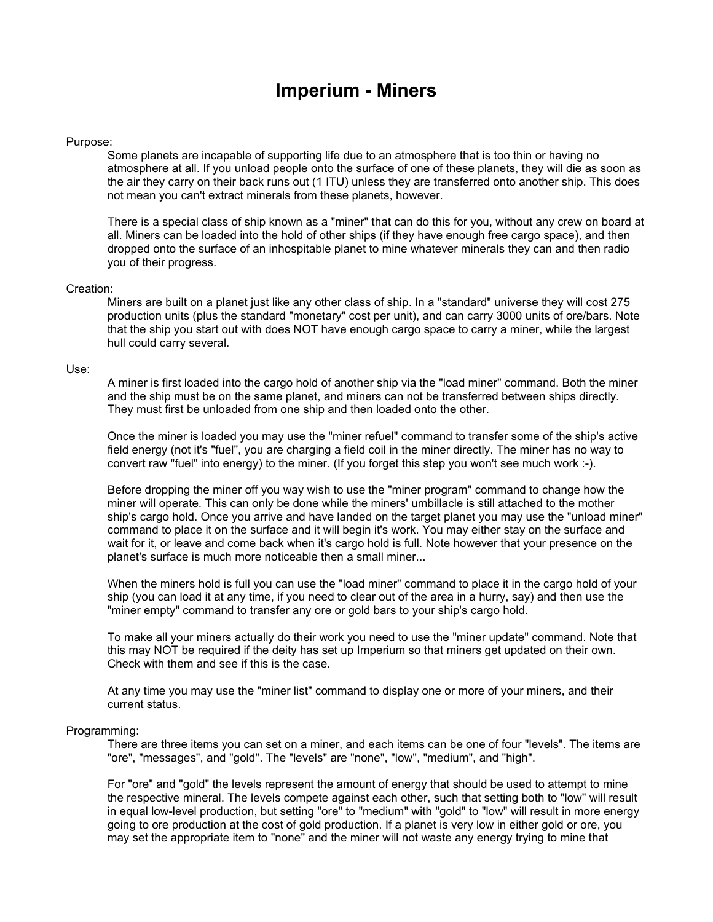# **Imperium - Miners**

## Purpose:

Some planets are incapable of supporting life due to an atmosphere that is too thin or having no atmosphere at all. If you unload people onto the surface of one of these planets, they will die as soon as the air they carry on their back runs out (1 ITU) unless they are transferred onto another ship. This does not mean you can't extract minerals from these planets, however.

There is a special class of ship known as a "miner" that can do this for you, without any crew on board at all. Miners can be loaded into the hold of other ships (if they have enough free cargo space), and then dropped onto the surface of an inhospitable planet to mine whatever minerals they can and then radio you of their progress.

### Creation:

Miners are built on a planet just like any other class of ship. In a "standard" universe they will cost 275 production units (plus the standard "monetary" cost per unit), and can carry 3000 units of ore/bars. Note that the ship you start out with does NOT have enough cargo space to carry a miner, while the largest hull could carry several.

#### Use:

A miner is first loaded into the cargo hold of another ship via the "load miner" command. Both the miner and the ship must be on the same planet, and miners can not be transferred between ships directly. They must first be unloaded from one ship and then loaded onto the other.

Once the miner is loaded you may use the "miner refuel" command to transfer some of the ship's active field energy (not it's "fuel", you are charging a field coil in the miner directly. The miner has no way to convert raw "fuel" into energy) to the miner. (If you forget this step you won't see much work :-).

Before dropping the miner off you way wish to use the "miner program" command to change how the miner will operate. This can only be done while the miners' umbillacle is still attached to the mother ship's cargo hold. Once you arrive and have landed on the target planet you may use the "unload miner" command to place it on the surface and it will begin it's work. You may either stay on the surface and wait for it, or leave and come back when it's cargo hold is full. Note however that your presence on the planet's surface is much more noticeable then a small miner...

When the miners hold is full you can use the "load miner" command to place it in the cargo hold of your ship (you can load it at any time, if you need to clear out of the area in a hurry, say) and then use the "miner empty" command to transfer any ore or gold bars to your ship's cargo hold.

To make all your miners actually do their work you need to use the "miner update" command. Note that this may NOT be required if the deity has set up Imperium so that miners get updated on their own. Check with them and see if this is the case.

At any time you may use the "miner list" command to display one or more of your miners, and their current status.

## Programming:

There are three items you can set on a miner, and each items can be one of four "levels". The items are "ore", "messages", and "gold". The "levels" are "none", "low", "medium", and "high".

For "ore" and "gold" the levels represent the amount of energy that should be used to attempt to mine the respective mineral. The levels compete against each other, such that setting both to "low" will result in equal low-level production, but setting "ore" to "medium" with "gold" to "low" will result in more energy going to ore production at the cost of gold production. If a planet is very low in either gold or ore, you may set the appropriate item to "none" and the miner will not waste any energy trying to mine that